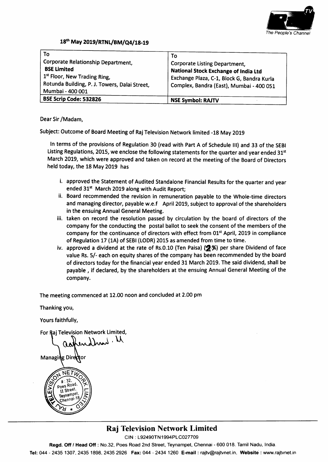

### 18<sup>th</sup> May 2019/RTNL/BM/Q4/18-19

| To<br>Corporate Relationship Department,<br><b>BSE Limited</b><br>1 <sup>st</sup> Floor, New Trading Ring,<br>Rotunda Building, P. J. Towers, Dalai Street,<br>Mumbai - 400 001 | To<br><b>Corporate Listing Department,</b><br>National Stock Exchange of India Ltd<br>Exchange Plaza, C-1, Block G, Bandra Kurla<br>Complex, Bandra (East), Mumbai - 400 051 |
|---------------------------------------------------------------------------------------------------------------------------------------------------------------------------------|------------------------------------------------------------------------------------------------------------------------------------------------------------------------------|
| <b>BSE Scrip Code: 532826</b>                                                                                                                                                   | <b>NSE Symbol: RAJTV</b>                                                                                                                                                     |

Dear Sir /Madam,

Subject: Outcome of Board Meeting of Raj Television Network limited -1g May 2019

ln terms of the provisions of Regulation 30 (read with part A of schedule lll) and 33 of the sEBl Listing Regulations, 2015, we enclose the following statements for the quarter and year ended 31<sup>st</sup> March 2019, which were approved and taken on record at the meeting of the Board of Directors held today, the 18 May 2019 has

- i. approved the Statement of Audited Standalone Financial Results for the quarter and year ended 31<sup>st</sup> March 2019 along with Audit Report;
- ii. Board recommended the revision in remuneration payable to the Whole-time directors and managing director, payable w.e.f April 2019, subject to approval of the shareholders in the ensuing Annual General Meeting.
- iii. taken on record the resolution passed by circulation by the board of directors of the company for the conducting the postal ballot to seek the consent of the members of the company for the continuance of directors with effect from 01<sup>st</sup> April, 2019 in compliance of Regulation 17 (1A) of SEBI (LODR) 2015 as amended from time to time.
- iv. approved a dividend at the rate of Rs.0.10 (Ten Paisa)  $(2, \%)$  per share Dividend of face value Rs. 5/- each on equity shares of the company has been recommended by the board of directors today for the financial year ended 31 March 2019. The said dividend, shall be payable , if declared, by the shareholders at the ensuing Annual General Meeting of the company.

The meeting commenced at 12.00 noon and concluded at 2.00 pm

Thanking you,

Yours faithfully,

For Raj Television Network Limited,

 $,\lambda$ ) and  $\lambda$ 

Managing Director



## Raj Television Network Limited

CIN: L92490TN1994PLC027709

Regd. Off / Head Off: No.32, Poes Road 2nd Street, Teynampet, Chennai - 600 018. Tamil Nadu, India.

Tel: 044 - 2435 1307, 2435 1898, 2435 2926 Fax: 044 - 2434 1260 E-mail : rajtv@rajtvnet.in. Website : www.rajtvnet.in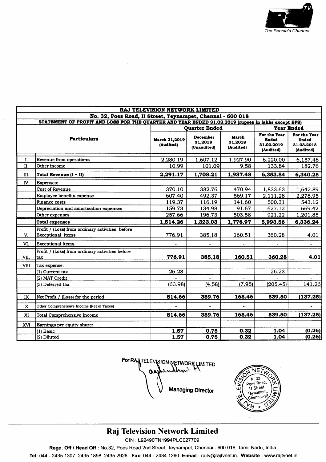

| RAJ TELEVISION NETWORK LIMITED                                                                      |                                                                             |                            |                                    |                               |                                                         |                                                         |  |  |  |  |
|-----------------------------------------------------------------------------------------------------|-----------------------------------------------------------------------------|----------------------------|------------------------------------|-------------------------------|---------------------------------------------------------|---------------------------------------------------------|--|--|--|--|
| No. 32, Poes Road, II Street, Teynampet, Chennai - 600 018                                          |                                                                             |                            |                                    |                               |                                                         |                                                         |  |  |  |  |
| STATEMENT OF PROFIT AND LOSS FOR THE QUARTER AND YEAR ENDED 31.03.2019 (rupees in lakhs except EPS) |                                                                             |                            |                                    |                               |                                                         |                                                         |  |  |  |  |
|                                                                                                     |                                                                             |                            | <b>Ouarter Ended</b>               |                               |                                                         | <b>Year Ended</b>                                       |  |  |  |  |
| <b>Particulars</b>                                                                                  |                                                                             | March 31,2019<br>(Audited) | December<br>31,2018<br>(Unaudited) | March<br>31,2018<br>(Audited) | For the Year<br><b>Ended</b><br>31.03.2019<br>(Audited) | For the Year<br><b>Ended</b><br>31.03.2018<br>(Audited) |  |  |  |  |
| I.                                                                                                  | Revenue from operations                                                     | 2,280.19                   | 1,607.12                           | 1,927.90                      | 6,220.00                                                | 6,157.48                                                |  |  |  |  |
| Π.                                                                                                  | Other income                                                                | 10.99                      | 101.09                             | 9.58                          | 133.84                                                  | 182.76                                                  |  |  |  |  |
| III.                                                                                                | Total Revenue (I + II)                                                      | 2,291.17                   | 1,708.21                           | 1,937.48                      | 6,353.84                                                | 6,340.25                                                |  |  |  |  |
| IV.                                                                                                 | <b>Expenses:</b>                                                            |                            |                                    |                               |                                                         |                                                         |  |  |  |  |
|                                                                                                     | <b>Cost of Revenue</b>                                                      | 370.10                     | 382.76                             | 470.94                        | 1,833.63                                                | 1,642.89                                                |  |  |  |  |
|                                                                                                     | Employee benefits expense                                                   | 607.40                     | 492.37                             | 569.17                        | 2,111.28                                                | 2,278.95                                                |  |  |  |  |
|                                                                                                     | Finance costs                                                               | 119.37                     | 116.19                             | 141.60                        | 500.31                                                  | 543.12                                                  |  |  |  |  |
|                                                                                                     | Depreciation and amortization expenses                                      | 159.73                     | 134.98                             | 91.67                         | 627.12                                                  | 669.42                                                  |  |  |  |  |
|                                                                                                     | Other expenses                                                              | 257.66                     | 196.73                             | 503.58                        | 921.22                                                  | 1,201.85                                                |  |  |  |  |
|                                                                                                     | <b>Total expenses</b>                                                       | 1,514.26                   | 1,323.03                           | 1,776.97                      | 5,993.56                                                | 6,336.24                                                |  |  |  |  |
| V.                                                                                                  | Profit / (Loss) from ordinary activities before<br><b>Exceptional</b> items | 776.91                     | 385.18                             | 160.51                        | 360.28                                                  | 4.01                                                    |  |  |  |  |
| VI.                                                                                                 | <b>Exceptional Items</b>                                                    |                            |                                    |                               |                                                         | $\overline{\phantom{0}}$                                |  |  |  |  |
| VII.                                                                                                | Profit / (Loss) from ordinary activities before<br>tax                      | 776.91                     | 385.18                             | 160.51                        | 360.28                                                  | 4.01                                                    |  |  |  |  |
| VIII                                                                                                | Tax expense:                                                                |                            |                                    |                               |                                                         |                                                         |  |  |  |  |
|                                                                                                     | (1) Current tax                                                             | 26.23                      |                                    |                               | 26.23                                                   |                                                         |  |  |  |  |
|                                                                                                     | (2) MAT Credit                                                              |                            |                                    |                               |                                                         |                                                         |  |  |  |  |
|                                                                                                     | (3) Deferred tax                                                            | (63.98)                    | (4.58)                             | (7.95)                        | (205.45)                                                | 141.26                                                  |  |  |  |  |
|                                                                                                     |                                                                             |                            |                                    |                               |                                                         |                                                         |  |  |  |  |
| IX                                                                                                  | Net Profit / (Loss) for the period                                          | 814.66                     | 389.76                             | 168.46                        | 539.50                                                  | (137.25)                                                |  |  |  |  |
| $\mathbf{x}$                                                                                        | Other Comprehensive Income (Net of Taxes)                                   |                            |                                    |                               |                                                         |                                                         |  |  |  |  |
| XI                                                                                                  | <b>Total Comprehensive Income</b>                                           | 814.66                     | 389.76                             | 168.46                        | 539.50                                                  | (137.25)                                                |  |  |  |  |
| <b>XVI</b>                                                                                          | Earnings per equity share:                                                  |                            |                                    |                               |                                                         |                                                         |  |  |  |  |
|                                                                                                     | (1) Basic                                                                   | 1.57                       | 0.75                               | 0.32                          | 1.04                                                    | (0.26)                                                  |  |  |  |  |
|                                                                                                     | (2) Diluted                                                                 | 1.57                       | 0.75                               | 0.32                          | 1.04                                                    | (0.26)                                                  |  |  |  |  |

For RALTELEVISION NETWORK LIMITED udhn). മ **Managing Director** 



## Raj Television Network Limited

CIN: L92490TN1994PLC027709

Regd. Off / Head Off : No.32, Poes Road 2nd Street, Teynampet, Chennai - 600 018. Tamil Nadu, India.

Tel: 044 - 2435 1307, 2435 1898, 2435 2926 Fax: 044 - 2434 1260 E-mail : rajtv@rajtvnet.in, Website : www.rajtvnet.in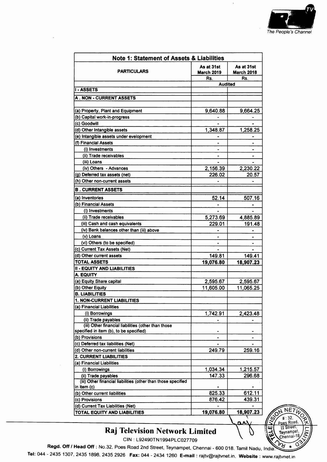

 $NETU$ 

 $+ 32.$ Poes Road.

Teynampet

C

ш

| <b>Note 1: Statement of Assets &amp; Liabilities</b>                                 |                                 |                                 |  |  |  |  |  |
|--------------------------------------------------------------------------------------|---------------------------------|---------------------------------|--|--|--|--|--|
| PARTICULARS                                                                          | As at 31st<br><b>March 2019</b> | As at 31st<br><b>March 2018</b> |  |  |  |  |  |
|                                                                                      | Rs.                             | Rs.                             |  |  |  |  |  |
|                                                                                      | <b>Audited</b>                  |                                 |  |  |  |  |  |
| <b>I-ASSETS</b>                                                                      |                                 |                                 |  |  |  |  |  |
| <b>A . NON - CURRENT ASSETS</b>                                                      |                                 |                                 |  |  |  |  |  |
|                                                                                      |                                 |                                 |  |  |  |  |  |
| (a) Property, Plant and Equipment                                                    | 9,640.88                        | 9,664.25                        |  |  |  |  |  |
| (b) Capital work-in-progress                                                         |                                 |                                 |  |  |  |  |  |
| (c) Goodwill                                                                         |                                 |                                 |  |  |  |  |  |
| (d) Other Intangible assets                                                          | 1,348.87                        | 1,258.25                        |  |  |  |  |  |
| (e) Intangible assets under evelopment                                               |                                 |                                 |  |  |  |  |  |
| (f) Financial Assets                                                                 |                                 |                                 |  |  |  |  |  |
| (i) Investments                                                                      |                                 |                                 |  |  |  |  |  |
| (ii) Trade receivables                                                               |                                 |                                 |  |  |  |  |  |
| (iii) Loans                                                                          |                                 |                                 |  |  |  |  |  |
| (iv) Others - Advances                                                               | 2,156.39                        | 2,230.22                        |  |  |  |  |  |
| (g) Deferred tax assets (net)                                                        | 226.02                          | 20.57                           |  |  |  |  |  |
| (h) Other non-current assets                                                         |                                 |                                 |  |  |  |  |  |
| <b>B. CURRENT ASSETS</b>                                                             |                                 |                                 |  |  |  |  |  |
| (a) Inventories                                                                      | 52.14                           | 507.16                          |  |  |  |  |  |
| (b) Financial Assets                                                                 |                                 |                                 |  |  |  |  |  |
| (i) Investments                                                                      |                                 |                                 |  |  |  |  |  |
| (ii) Trade receivables                                                               | 5,273.69                        | 4,885.89                        |  |  |  |  |  |
| (iii) Cash and cash equivalents                                                      | 229.01                          | 191.48                          |  |  |  |  |  |
| (iv) Bank balances other than (iii) above                                            |                                 |                                 |  |  |  |  |  |
| (v) Loans                                                                            |                                 |                                 |  |  |  |  |  |
| (vi) Others (to be specified)                                                        |                                 |                                 |  |  |  |  |  |
| (c) Current Tax Assets (Net)                                                         |                                 |                                 |  |  |  |  |  |
| (d) Other current assets                                                             | 149.81                          | 149.41                          |  |  |  |  |  |
| <b>TOTAL ASSETS</b>                                                                  | 19,076.80                       | 18,907.23                       |  |  |  |  |  |
| <b>II - EQUITY AND LIABILITIES</b>                                                   |                                 |                                 |  |  |  |  |  |
| A. EQUITY                                                                            |                                 |                                 |  |  |  |  |  |
| (a) Equity Share capital                                                             | 2,595.67                        | 2,595.67                        |  |  |  |  |  |
| (b) Other Equity                                                                     | 11,605.00                       | 11,065.25                       |  |  |  |  |  |
| <b>B. LIABILITIES</b>                                                                |                                 |                                 |  |  |  |  |  |
| 1. NON-CURRENT LIABILITIES                                                           |                                 |                                 |  |  |  |  |  |
| (a) Financial Liabilities                                                            |                                 |                                 |  |  |  |  |  |
| (i) Borrowings                                                                       | 1,742.91                        | 2,423.48                        |  |  |  |  |  |
| (ii) Trade payables                                                                  |                                 |                                 |  |  |  |  |  |
| (iii) Other financial liabilities (other than those                                  |                                 |                                 |  |  |  |  |  |
| specified in item (b), to be specified)                                              |                                 |                                 |  |  |  |  |  |
| (b) Provisions                                                                       |                                 |                                 |  |  |  |  |  |
| (c) Deferred tax liabilities (Net)                                                   |                                 |                                 |  |  |  |  |  |
| (d) Other non-current liabilities                                                    | 249.79                          | 259.16                          |  |  |  |  |  |
| 2. CURRENT LIABILITIES                                                               |                                 |                                 |  |  |  |  |  |
| (a) Financial Liabilities                                                            |                                 |                                 |  |  |  |  |  |
| (i) Borrowings                                                                       | 1,034.34                        | 1,215.57                        |  |  |  |  |  |
| (ii) Trade payables<br>(iii) Other financial liabilities (other than those specified | 147.33                          | 296.68                          |  |  |  |  |  |
| in item (c)                                                                          |                                 |                                 |  |  |  |  |  |
| (b) Other current liabilities                                                        | 825.33                          | 612.11                          |  |  |  |  |  |
| (c) Provisions                                                                       | 876.42                          | 439.31                          |  |  |  |  |  |
| (d) Current Tax Liabilities (Net)                                                    |                                 |                                 |  |  |  |  |  |
| TOTAL EQUITY AND LIABILITIES                                                         | 19,076.80                       | 18,907.23                       |  |  |  |  |  |



CIN: L92490TN1994PLC027709

Regd. Off / Head Off : No.32, Poes Road 2nd Street, Teynampet, Chennai - 600 018. Tamil Nadu, India. ሥଧ

Tel: 044 - 2435 1307, 2435 1898, 2435 2926 Fax: 044 - 2434 1260 E-mail : rajtv@rajtvnet.in, Website : www.rajtvnet.in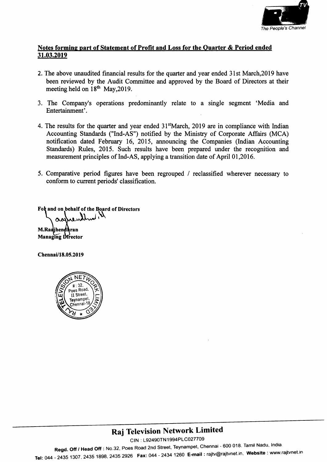

#### Notes forming part of Statement of Profit and Loss for the Quarter & Period ended 31.03.2019

- 2. The above unaudited financial results for the quarter and year ended 3lst March,20l9 have been reviewed by the Audit Committee and approved by the Board of Directors at their meeting held on  $18<sup>th</sup>$  May, 2019.
- 3. The Company's operations predominantly relate to a single segment'Media and Entertainment'.
- 4. The results for the quarter and year ended  $31<sup>st</sup>$  March, 2019 are in compliance with Indian Accounting Standards ("Ind-AS") notified by the Ministry of Corporate Affairs (MCA) notification dated February 16, 2015, announcing the Companies (Indian Accounting Standards) Rules, 2015. Such results have been prepared under the recogrition and measurement principles of Ind-AS, applying a transition date of April 01,2016.
- 5. Comparative period figures have been regrouped / reclassified wherever necessary to conform to current periods' classification.

Fot and on behalf of the Board of Directors

M.Raajhendhran Managing Director

Chennei/l8.05.2019



# Raj Television Network Limited

CIN : L92490TN1994PLC027709

Regd. Off / Head Off: No.32, Poes Road 2nd Street, Teynampet, Chennai - 600 018. Tamil Nadu, India. Tel: 044 - 2435 1307, 2435 1898, 2435 2926 Fax: 044 - 2434 1260 E-mail: rajtv@rajtvnet.in, Website: www.rajtvnet.in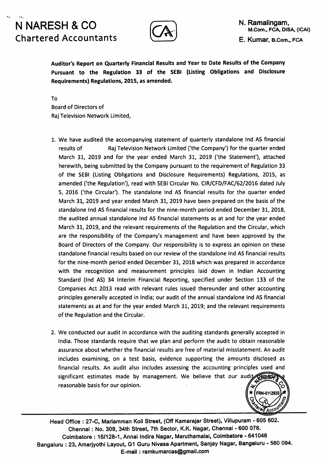# N NARESH & CO Chartered Accountants



Auditor's Report on Quarterly Financial Results and Year to Date Results of the Company Pursuant to the Regulation 33 of the SEBI (Listing Obligations and Disclosure Requirements) Regulations, 2015, as amended.

To Board of Directors of Raj Television Network Limited,

- 1. we have audited the accompanying statement of quarterly standalone lnd AS financial results of Raj Television Network Limited ('the Company') for the quarter ended March 31, 2019 and for the year ended March 31, 2019 ('the Statement'), attached herewith, being submitted by the Company pursuant to the requirement of Regulation 33 of the SEBI (Listing Obligations and Disclosure Requirements) Regulations, 2015, as amended ('the Regulation'), read with SEBI Circular No. CIR/CFD/FAC/62|2OLG dated July 5, 2016 ('the Circular'). The standalone lnd AS financial results for the quarter ended March 31, 2019 and year ended March 31, 2019 have been prepared on the basis of the standalone lnd AS financial results for the nine-month period ended December 31, 2018, the audited annual standalone lnd AS financial statements as at and for the year ended March 31, 2019, and the relevant requirements of the Regulation and the Circular, which are the responsibility of the Company's management and have been approved by the Board of Directors of the Company. Our responsibility is to express an opinion on these standalone financial results based on our review of the standalone lnd AS financial results for the nine-month period ended December 31, 2018 which was prepared in accordance with the recognition and measurement principles laid down in lndian Accounting Standard (lnd AS) 34 lnterim Financial Reporting, specified under Section 133 of the Companies Act 2013 read with relevant rules issued thereunder and other accounting principles generally accepted in lndia; our audit of the annual standalone lnd AS financial statements as at and for the year ended March 31, 2019; and the relevant requirements of the Regulation and the Circular.
- 2. We conducted our audit in accordance with the auditing standards generally accepted in lndia. Those standards require that we plan and perform the audit to obtain reasonable assurance about whether the financial results are free of material misstatement. An audit includes examining, on a test basis, evidence supporting the amounts disclosed as financial results. An audit also includes assessing the accounting principles used and significant estimates made by management. We believe that our audi reasonable basis for our opinion.



Head Office : 27-C, Mariamman Koil Street, (Off Kamarajar Street), Villupuram - 605 602. Chennai : No. 309, 34th Street, 7th Sector, K.K. Nagar, Chennai - 600 078. Coimbatore : 16/128-1, Annai Indira Nagar, Maruthamalai, Coimbatore - 641046 Bangaluru : 23, Amarjyothi Layout, G1 Guru Nivasa Apartment, Sanjay Nagar, Bangaluru - 560 094. E-mail: ramkumarcas@gmail.com